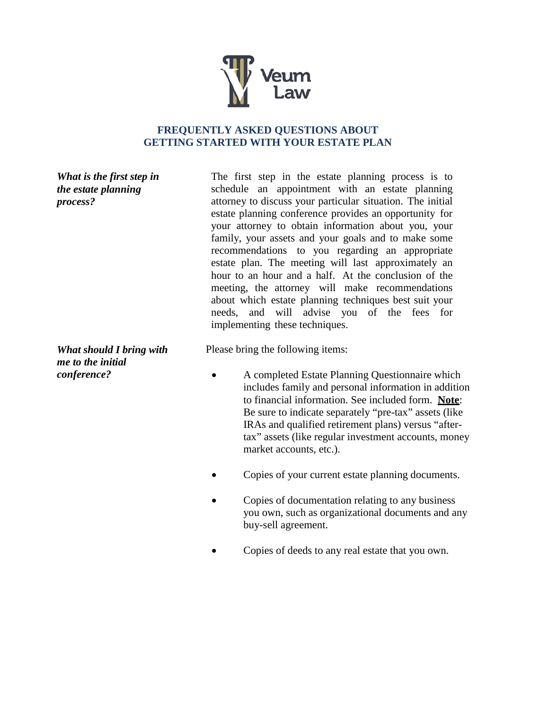

## **FREQUENTLY ASKED QUESTIONS ABOUT GETTING STARTED WITH YOUR ESTATE PLAN**

*What is the first step in the estate planning process?*

*What should I bring with me to the initial conference?*

The first step in the estate planning process is to schedule an appointment with an estate planning attorney to discuss your particular situation. The initial estate planning conference provides an opportunity for your attorney to obtain information about you, your family, your assets and your goals and to make some recommendations to you regarding an appropriate estate plan. The meeting will last approximately an hour to an hour and a half. At the conclusion of the meeting, the attorney will make recommendations about which estate planning techniques best suit your needs, and will advise you of the fees for implementing these techniques.

Please bring the following items:

- A completed Estate Planning Questionnaire which includes family and personal information in addition to financial information. See included form. **Note**: Be sure to indicate separately "pre-tax" assets (like IRAs and qualified retirement plans) versus "aftertax" assets (like regular investment accounts, money market accounts, etc.).
- Copies of your current estate planning documents.
- Copies of documentation relating to any business you own, such as organizational documents and any buy-sell agreement.
- Copies of deeds to any real estate that you own.